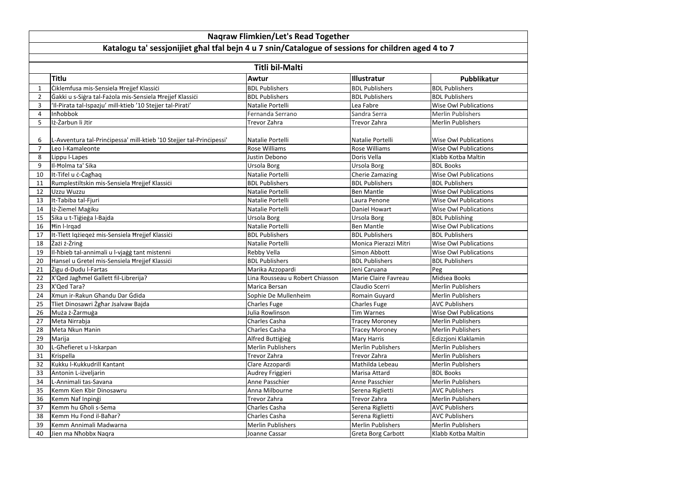|                | <b>Titli bil-Malti</b>                                               |                                 |                          |                              |  |  |
|----------------|----------------------------------------------------------------------|---------------------------------|--------------------------|------------------------------|--|--|
|                | Titlu                                                                | Awtur                           | <b>Illustratur</b>       | Pubblikatur                  |  |  |
|                | Ciklemfusa mis-Sensiela Hrejjef Klassici                             | <b>BDL Publishers</b>           | <b>BDL Publishers</b>    | <b>BDL Publishers</b>        |  |  |
| $\overline{2}$ | Gakki u s-Sigra tal-Fazola mis-Sensiela Hrejjef Klassici             | <b>BDL Publishers</b>           | <b>BDL Publishers</b>    | <b>BDL Publishers</b>        |  |  |
| 3              | 'Il-Pirata tal-Ispazju' mill-ktieb '10 Stejjer tal-Pirati'           | Natalie Portelli                | Lea Fabre                | <b>Wise Owl Publications</b> |  |  |
| 4              | Inhobbok                                                             | Fernanda Serrano                | Sandra Serra             | <b>Merlin Publishers</b>     |  |  |
| 5              | Iż-Żarbun li Jtir                                                    | Trevor Zahra                    | <b>Trevor Zahra</b>      | <b>Merlin Publishers</b>     |  |  |
| 6              | L-Avventura tal-Principessa' mill-ktieb '10 Stejjer tal-Principessi' | Natalie Portelli                | Natalie Portelli         | <b>Wise Owl Publications</b> |  |  |
| 7              | Leo I-Kamaleonte                                                     | <b>Rose Williams</b>            | <b>Rose Williams</b>     | <b>Wise Owl Publications</b> |  |  |
| 8              | Lippu I-Lapes                                                        | Justin Debono                   | Doris Vella              | Klabb Kotba Maltin           |  |  |
| 9              | II- <b>Holma</b> ta' Sika                                            | Ursola Borg                     | Ursola Borg              | <b>BDL Books</b>             |  |  |
| 10             | It-Tifel u c-Caghaq                                                  | Natalie Portelli                | <b>Cherie Zamazing</b>   | <b>Wise Owl Publications</b> |  |  |
| 11             | Rumplestiltskin mis-Sensiela Hrejjef Klassići                        | <b>BDL Publishers</b>           | <b>BDL Publishers</b>    | <b>BDL Publishers</b>        |  |  |
| 12             | Uzzu Wuzzu                                                           | Natalie Portelli                | <b>Ben Mantle</b>        | <b>Wise Owl Publications</b> |  |  |
| 13             | It-Tabiba tal-Fjuri                                                  | Natalie Portelli                | Laura Penone             | <b>Wise Owl Publications</b> |  |  |
| 14             | Iż-Żiemel Maġiku                                                     | Natalie Portelli                | <b>Daniel Howart</b>     | <b>Wise Owl Publications</b> |  |  |
| 15             | Sika u t-Tiģieģa I-Bajda                                             | Ursola Borg                     | Ursola Borg              | <b>BDL Publishing</b>        |  |  |
| 16             | Hin I-Irgad                                                          | Natalie Portelli                | <b>Ben Mantle</b>        | <b>Wise Owl Publications</b> |  |  |
| 17             | It-Tlett Iqzieqez mis-Sensiela Hrejjef Klassici                      | <b>BDL Publishers</b>           | <b>BDL Publishers</b>    | <b>BDL Publishers</b>        |  |  |
| 18             | Zażi ż-Żring                                                         | Natalie Portelli                | Monica Pierazzi Mitri    | <b>Wise Owl Publications</b> |  |  |
| 19             | II-hbieb tal-annimali u l-vjaġġ tant mistenni                        | <b>Rebby Vella</b>              | Simon Abbott             | <b>Wise Owl Publications</b> |  |  |
| 20             | Hansel u Gretel mis-Sensiela Hrejjef Klassici                        | <b>BDL Publishers</b>           | <b>BDL Publishers</b>    | <b>BDL Publishers</b>        |  |  |
| 21             | Žigu d-Dudu I-Fartas                                                 | Marika Azzopardi                | Jeni Caruana             | Peg                          |  |  |
| 22             | X'Qed Jaghmel Gallett fil-Librerija?                                 | Lina Rousseau u Robert Chiasson | Marie Claire Favreau     | Midsea Books                 |  |  |
| 23             | X'Qed Tara?                                                          | Marica Bersan                   | Claudio Scerri           | <b>Merlin Publishers</b>     |  |  |
| 24             | Xmun ir-Rakun Ghandu Dar Gdida                                       | Sophie De Mullenheim            | Romain Guyard            | <b>Merlin Publishers</b>     |  |  |
| 25             | Tliet Dinosawri Żgħar Jsalvaw Bajda                                  | <b>Charles Fuge</b>             | <b>Charles Fuge</b>      | <b>AVC Publishers</b>        |  |  |
| 26             | Muża ż-Żarmuga                                                       | Julia Rowlinson                 | Tim Warnes               | <b>Wise Owl Publications</b> |  |  |
| 27             | Meta Nirrabja                                                        | Charles Casha                   | <b>Tracey Moroney</b>    | <b>Merlin Publishers</b>     |  |  |
| 28             | Meta Nkun Hanin                                                      | Charles Casha                   | <b>Tracey Moroney</b>    | <b>Merlin Publishers</b>     |  |  |
| 29             | Marija                                                               | Alfred Buttigieg                | <b>Mary Harris</b>       | Edizzjoni Klaklamin          |  |  |
| 30             | L-Ghefieret u l-Iskarpan                                             | Merlin Publishers               | <b>Merlin Publishers</b> | <b>Merlin Publishers</b>     |  |  |
| 31             | Krispella                                                            | Trevor Zahra                    | Trevor Zahra             | <b>Merlin Publishers</b>     |  |  |
| 32             | Kukku l-Kukkudrill Kantant                                           | Clare Azzopardi                 | Mathilda Lebeau          | <b>Merlin Publishers</b>     |  |  |
| 33             | Antonin L-iżveljarin                                                 | Audrey Friggieri                | Marisa Attard            | <b>BDL Books</b>             |  |  |
| 34             | L-Annimali tas-Savana                                                | Anne Passchier                  | Anne Passchier           | <b>Merlin Publishers</b>     |  |  |
| 35             | Kemm Kien Kbir Dinosawru                                             | Anna Milbourne                  | Serena Riglietti         | <b>AVC Publishers</b>        |  |  |
| 36             | Kemm Naf Inpingi                                                     | <b>Trevor Zahra</b>             | Trevor Zahra             | <b>Merlin Publishers</b>     |  |  |
| 37             | Kemm hu Gholi s-Sema                                                 | Charles Casha                   | Serena Riglietti         | <b>AVC Publishers</b>        |  |  |
| 38             | Kemm Hu Fond il-Bahar?                                               | Charles Casha                   | Serena Riglietti         | <b>AVC Publishers</b>        |  |  |
| 39             | Kemm Annimali Madwarna                                               | Merlin Publishers               | <b>Merlin Publishers</b> | <b>Merlin Publishers</b>     |  |  |
| 40             | Jien ma Nhobbx Nagra                                                 | Joanne Cassar                   | Greta Borg Carbott       | Klabb Kotba Maltin           |  |  |
|                |                                                                      |                                 |                          |                              |  |  |

## **Naqraw Flimkien/Let's Read Together**

## **Katalogu ta' sessjonijiet għal tfal bejn 4 u 7 snin/Catalogue of sessions for children aged 4 to 7**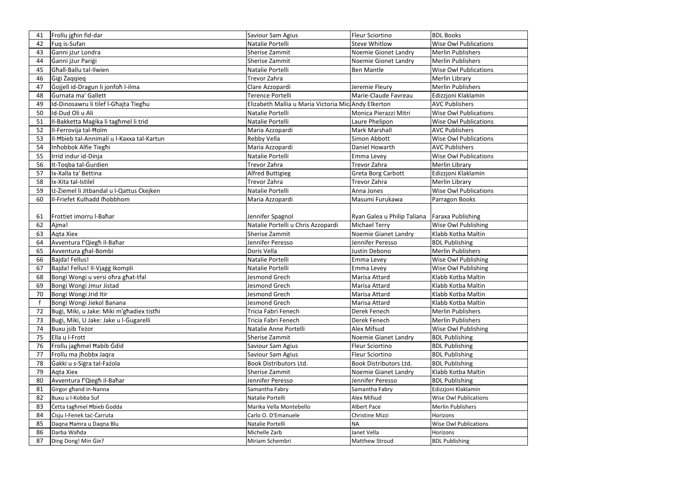| 41 | Frollu jghin fid-dar                       | Saviour Sam Agius                                   | <b>Fleur Sciortino</b>        | <b>BDL Books</b>             |
|----|--------------------------------------------|-----------------------------------------------------|-------------------------------|------------------------------|
| 42 | Fuq is-Sufan                               | Natalie Portelli                                    | <b>Steve Whitlow</b>          | <b>Wise Owl Publications</b> |
| 43 | Ganni jżur Londra                          | <b>Sherise Zammit</b>                               | Noemie Gionet Landry          | <b>Merlin Publishers</b>     |
| 44 | Ganni jżur Parigi                          | <b>Sherise Zammit</b>                               | Noemie Gionet Landry          | Merlin Publishers            |
| 45 | Ghall-Ballu tal-Ilwien                     | Natalie Portelli                                    | <b>Ben Mantle</b>             | <b>Wise Owl Publications</b> |
| 46 | Gigi Zaqqieq                               | Trevor Zahra                                        |                               | Merlin Library               |
| 47 | Gojjell id-Dragun li jonfoh l-ilma         | Clare Azzopardi                                     | Jeremie Fleury                | <b>Merlin Publishers</b>     |
| 48 | Gurnata ma' Gallett                        | Terence Portelli                                    | Marie-Claude Favreau          | Edizzjoni Klaklamin          |
| 49 | Id-Dinosawru li tilef I-Ghajta Tieghu      | Elizabeth Mallia u Maria Victoria Mic Andy Elkerton |                               | <b>AVC Publishers</b>        |
| 50 | Id-Dud Oli u Ali                           | Natalie Portelli                                    | Monica Pierazzi Mitri         | <b>Wise Owl Publications</b> |
| 51 | II-Bakketta Magika li tagħmel li trid      | Natalie Portelli                                    | Laure Phelipon                | <b>Wise Owl Publications</b> |
| 52 | Il-Ferrovija tal-Holm                      | Maria Azzopardi                                     | Mark Marshall                 | <b>AVC Publishers</b>        |
| 53 | II-Hbieb tal-Annimali u I-Kaxxa tal-Kartun | Rebby Vella                                         | Simon Abbott                  | <b>Wise Owl Publications</b> |
| 54 | Inhobbok Alfie Tieghi                      | Maria Azzopardi                                     | Daniel Howarth                | <b>AVC Publishers</b>        |
| 55 | Irrid indur id-Dinja                       | Natalie Portelli                                    | Emma Levey                    | <b>Wise Owl Publications</b> |
| 56 | It-Toqba tal-Gurdien                       | Trevor Zahra                                        | Trevor Zahra                  | Merlin Library               |
| 57 | Ix-Xalla ta' Bettina                       | <b>Alfred Buttigieg</b>                             | Greta Borg Carbott            | Edizzjoni Klaklamin          |
| 58 | Ix-Xita tal-Istilel                        | Trevor Zahra                                        | <b>Trevor Zahra</b>           | Merlin Library               |
| 59 | Iż-Żiemel li Jitbandal u I-Qattus Ckejken  | Natalie Portelli                                    | Anna Jones                    | <b>Wise Owl Publications</b> |
| 60 | Il-Friefet Kulhadd Ihobbhom                | Maria Azzopardi                                     | Masumi Furukawa               | Parragon Books               |
|    |                                            |                                                     |                               |                              |
| 61 | Frottiet imorru I-Bahar                    | Jennifer Spagnol                                    | Ryan Galea u Philip Taliana   | Faraxa Publishing            |
| 62 | Ajma!                                      | Natalie Portelli u Chris Azzopardi                  | <b>Michael Terry</b>          | Wise Owl Publishing          |
| 63 | Agta Xiex                                  | <b>Sherise Zammit</b>                               | Noemie Gianet Landry          | Klabb Kotba Maltin           |
| 64 | Avventura f'Qiegh il-Bahar                 | Jennifer Peresso                                    | Jennifer Peresso              | <b>BDL Publishing</b>        |
| 65 | Avventura ghal-Bombi                       | Doris Vella                                         | Justin Debono                 | <b>Merlin Publishers</b>     |
| 66 | Bajda! Fellus!                             | Natalie Portelli                                    | Emma Levey                    | <b>Wise Owl Publishing</b>   |
| 67 | Bajda! Fellus! Il-Vjaġġ Ikompli            | Natalie Portelli                                    | Emma Levey                    | <b>Wise Owl Publishing</b>   |
| 68 | Bongi Wongi u versi ohra ghat-tfal         | Jesmond Grech                                       | Marisa Attard                 | Klabb Kotba Maltin           |
| 69 | Bongi Wongi Jmur Jistad                    | Jesmond Grech                                       | Marisa Attard                 | Klabb Kotba Maltin           |
| 70 | Bongi Wongi Jrid Itir                      | Jesmond Grech                                       | Marisa Attard                 | Klabb Kotba Maltin           |
|    | Bongi Wongi Jiekol Banana                  | Jesmond Grech                                       | Marisa Attard                 | Klabb Kotba Maltin           |
| 72 | Buġi, Miki, u Jake: Miki m'għadiex tistħi  | Tricia Fabri Fenech                                 | Derek Fenech                  | <b>Merlin Publishers</b>     |
| 73 | Buġi, Miki, U Jake: Jake u l-Gugarelli     | Tricia Fabri Fenech                                 | Derek Fenech                  | <b>Merlin Publishers</b>     |
| 74 | Buxu jsib Teżor                            | Natalie Anne Portelli                               | Alex Mifsud                   | Wise Owl Publishing          |
| 75 | Ella u I-Frott                             | <b>Sherise Zammit</b>                               | Noemie Gianet Landry          | <b>BDL Publishing</b>        |
| 76 | Frollu jaghmel Habib Gdid                  | Saviour Sam Agius                                   | <b>Fleur Sciortino</b>        | <b>BDL Publishing</b>        |
| 77 | Frollu ma jhobbx Jagra                     | Saviour Sam Agius                                   | <b>Fleur Sciortino</b>        | <b>BDL Publishing</b>        |
| 78 | Gakki u s-Sigra tal-Fazola                 | <b>Book Distributors Ltd.</b>                       | <b>Book Distributors Ltd.</b> | <b>BDL Publishing</b>        |
| 79 | Agta Xiex                                  | Sherise Zammit                                      | Noemie Gianet Landry          | Klabb Kotba Maltin           |
| 80 | Avventura f'Qiegh il-Bahar                 | Jennifer Peresso                                    | Jennifer Peresso              | <b>BDL Publishing</b>        |
| 81 | Girgor ghand in-Nanna                      | Samantha Fabry                                      | Samantha Fabry                | Edizzjoni Klaklamin          |
| 82 | Buxu u I-Kobba Suf                         | Natalie Portelli                                    | <b>Alex Mifsud</b>            | <b>Wise Owl Publications</b> |
| 83 | Cetta tagħmel Hbieb Godda                  | Marika Vella Montebello                             | <b>Albert Pace</b>            | <b>Merlin Publishers</b>     |
| 84 | Cisju I-Fenek tac-Carruta                  | Carlo O. D'Emanuele                                 | Christine Mizzi               | Horizons                     |
| 85 | Daqna Hamra u Daqna Blu                    | Natalie Portelli                                    | <b>NA</b>                     | <b>Wise Owl Publications</b> |
| 86 | Darba Waħda                                | Michelle Zarb                                       | Janet Vella                   | Horizons                     |
| 87 | Ding Dong! Min Gie?                        | Miriam Schembri                                     | <b>Matthew Stroud</b>         | <b>BDL Publishing</b>        |
|    |                                            |                                                     |                               |                              |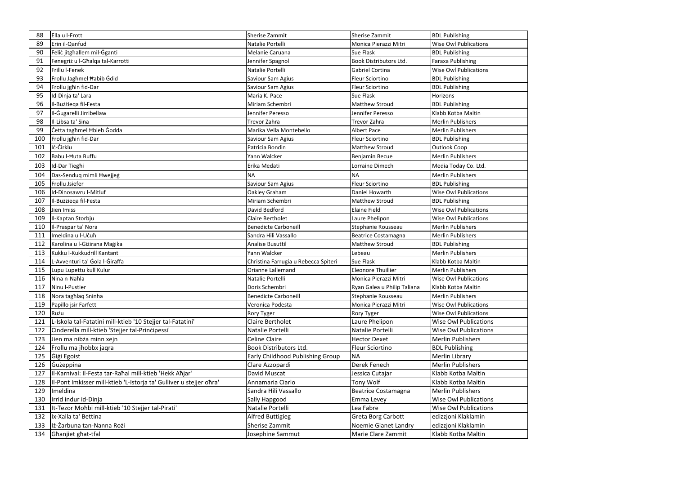| 88  | Ella u I-Frott                                                      | Sherise Zammit                       | Sherise Zammit              | <b>BDL Publishing</b>        |
|-----|---------------------------------------------------------------------|--------------------------------------|-----------------------------|------------------------------|
| 89  | Erin il-Qanfud                                                      | Natalie Portelli                     | Monica Pierazzi Mitri       | <b>Wise Owl Publications</b> |
| 90  | Felic jitghallem mil-Gganti                                         | Melanie Caruana                      | <b>Sue Flask</b>            | <b>BDL Publishing</b>        |
| 91  | Fenegriż u I-Għalqa tal-Karrotti                                    | Jennifer Spagnol                     | Book Distributors Ltd.      | <b>Faraxa Publishing</b>     |
| 92  | Frillu I-Fenek                                                      | Natalie Portelli                     | Gabriel Cortina             | <b>Wise Owl Publications</b> |
| 93  | Frollu Jagħmel Habib Gdid                                           | Saviour Sam Agius                    | <b>Fleur Sciortino</b>      | <b>BDL Publishing</b>        |
| 94  | Frollu jghin fid-Dar                                                | Saviour Sam Agius                    | <b>Fleur Sciortino</b>      | <b>BDL Publishing</b>        |
| 95  | Id-Dinja ta' Lara                                                   | Maria K. Pace                        | Sue Flask                   | Horizons                     |
| 96  | Il-Bużżiega fil-Festa                                               | Miriam Schembri                      | <b>Matthew Stroud</b>       | <b>BDL Publishing</b>        |
| 97  | Il-Gugarelli Jirribellaw                                            | Jennifer Peresso                     | Jennifer Peresso            | Klabb Kotba Maltin           |
| 98  | Il-Libsa ta' Sina                                                   | Trevor Zahra                         | Trevor Zahra                | <b>Merlin Publishers</b>     |
| 99  | Cetta tagħmel Ħbieb Godda                                           | Marika Vella Montebello              | <b>Albert Pace</b>          | <b>Merlin Publishers</b>     |
| 100 | Frollu jghin fid-Dar                                                | Saviour Sam Agius                    | <b>Fleur Sciortino</b>      | <b>BDL Publishing</b>        |
| 101 | Iċ-Ċirklu                                                           | Patricia Bondin                      | <b>Matthew Stroud</b>       | Outlook Coop                 |
| 102 | Babu l-Huta Buffu                                                   | Yann Walcker                         | Benjamin Becue              | <b>Merlin Publishers</b>     |
| 103 | Id-Dar Tieghi                                                       | Erika Medati                         | Lorraine Dimech             | Media Today Co. Ltd.         |
| 104 | Das-Senduq mimli Hwejjeg                                            | <b>NA</b>                            | <b>NA</b>                   | <b>Merlin Publishers</b>     |
| 105 | Frollu Jsiefer                                                      | Saviour Sam Agius                    | <b>Fleur Sciortino</b>      | <b>BDL Publishing</b>        |
| 106 | Id-Dinosawru I-Mitluf                                               | Oakley Graham                        | Daniel Howarth              | <b>Wise Owl Publications</b> |
| 107 | Il-Bużżiega fil-Festa                                               | Miriam Schembri                      | <b>Matthew Stroud</b>       | <b>BDL Publishing</b>        |
| 108 | Jien Imiss                                                          | David Bedford                        | <b>Elaine Field</b>         | <b>Wise Owl Publications</b> |
| 109 | Il-Kaptan Storbju                                                   | <b>Claire Bertholet</b>              | Laure Phelipon              | <b>Wise Owl Publications</b> |
| 110 | Il-Praspar ta' Nora                                                 | <b>Benedicte Carboneill</b>          | Stephanie Rousseau          | <b>Merlin Publishers</b>     |
| 111 | Imeldina u I-Ucuħ                                                   | Sandra Hili Vassallo                 | Beatrice Costamagna         | <b>Merlin Publishers</b>     |
| 112 | Karolina u I-Giżirana Magika                                        | <b>Analise Busuttil</b>              | <b>Matthew Stroud</b>       | <b>BDL Publishing</b>        |
| 113 | Kukku I-Kukkudrill Kantant                                          | Yann Walcker                         | Lebeau                      | <b>Merlin Publishers</b>     |
| 114 | L-Avventuri ta' Gola I-Giraffa                                      | Christina Farrugia u Rebecca Spiteri | <b>Sue Flask</b>            | Klabb Kotba Maltin           |
| 115 | Lupu Lupettu kull Kulur                                             | Orianne Lallemand                    | <b>Eleonore Thuillier</b>   | <b>Merlin Publishers</b>     |
| 116 | Nina n-Nahla                                                        | Natalie Portelli                     | Monica Pierazzi Mitri       | <b>Wise Owl Publications</b> |
| 117 | Ninu I-Pustier                                                      | Doris Schembri                       | Ryan Galea u Philip Taliana | Klabb Kotba Maltin           |
| 118 | Nora taghlaq Sninha                                                 | <b>Benedicte Carboneill</b>          | Stephanie Rousseau          | <b>Merlin Publishers</b>     |
| 119 | Papillo jsir Farfett                                                | Veronica Podesta                     | Monica Pierazzi Mitri       | <b>Wise Owl Publications</b> |
| 120 | Rużu                                                                | Rory Tyger                           | Rory Tyger                  | <b>Wise Owl Publications</b> |
| 121 | L-Iskola tal-Fatatini mill-ktieb '10 Stejjer tal-Fatatini'          | Claire Bertholet                     | Laure Phelipon              | <b>Wise Owl Publications</b> |
| 122 | Cinderella mill-ktieb 'Stejjer tal-Principessi'                     | Natalie Portelli                     | Natalie Portelli            | <b>Wise Owl Publications</b> |
| 123 | Jien ma nibża minn xejn                                             | Celine Claire                        | <b>Hector Dexet</b>         | <b>Merlin Publishers</b>     |
| 124 | Frollu ma jhobbx jaqra                                              | <b>Book Distributors Ltd.</b>        | <b>Fleur Sciortino</b>      | <b>BDL Publishing</b>        |
| 125 | Gigi Egoist                                                         | Early Childhood Publishing Group     | <b>NA</b>                   | Merlin Library               |
| 126 | Gużeppina                                                           | Clare Azzopardi                      | Derek Fenech                | <b>Merlin Publishers</b>     |
| 127 | Il-Karnival: Il-Festa tar-Rahal mill-ktieb 'Hekk Ahjar'             | David Muscat                         | Jessica Cutajar             | Klabb Kotba Maltin           |
| 128 | Il-Pont Imkisser mill-ktieb 'L-Istorja ta' Gulliver u stejjer ohra' | Annamaria Ciarlo                     | Tony Wolf                   | Klabb Kotba Maltin           |
| 129 | Imeldina                                                            | Sandra Hili Vassallo                 | <b>Beatrice Costamagna</b>  | <b>Merlin Publishers</b>     |
| 130 | Irrid indur id-Dinja                                                | Sally Hapgood                        | <b>Emma Levey</b>           | <b>Wise Owl Publications</b> |
| 131 | It-Tezor Mohbi mill-ktieb '10 Stejjer tal-Pirati'                   | Natalie Portelli                     | Lea Fabre                   | <b>Wise Owl Publications</b> |
| 132 | Ix-Xalla ta' Bettina                                                | <b>Alfred Buttigieg</b>              | Greta Borg Carbott          | edizzjoni Klaklamin          |
| 133 | Iż-Żarbuna tan-Nanna Rożi                                           | <b>Sherise Zammit</b>                | Noemie Gianet Landry        | edizzjoni Klaklamin          |
| 134 | Ghanjiet ghat-tfal                                                  | Josephine Sammut                     | Marie Clare Zammit          | Klabb Kotba Maltin           |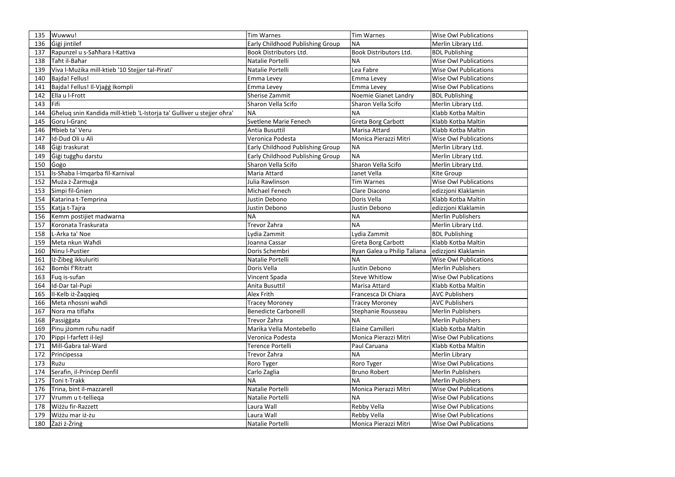| 135 | Wuwwu!                                                                 | <b>Tim Warnes</b>                | Tim Warnes                   | <b>Wise Owl Publications</b> |
|-----|------------------------------------------------------------------------|----------------------------------|------------------------------|------------------------------|
| 136 | Gigi jintilef                                                          | Early Childhood Publishing Group | <b>NA</b>                    | Merlin Library Ltd.          |
| 137 | Rapunzel u s-Sahhara l-Kattiva                                         | <b>Book Distributors Ltd.</b>    | <b>Book Distributors Ltd</b> | <b>BDL Publishing</b>        |
| 138 | Taht il-Bahar                                                          | Natalie Portelli                 | <b>NA</b>                    | <b>Wise Owl Publications</b> |
| 139 | Viva l-Mużika mill-ktieb '10 Stejjer tal-Pirati'                       | Natalie Portelli                 | Lea Fabre                    | <b>Wise Owl Publications</b> |
| 140 | Bajda! Fellus!                                                         | Emma Levey                       | <b>Emma Levey</b>            | <b>Wise Owl Publications</b> |
| 141 | Bajda! Fellus! Il-Vjaġġ Ikompli                                        | Emma Levey                       | Emma Levey                   | <b>Wise Owl Publications</b> |
| 142 | Ella u I-Frott                                                         | <b>Sherise Zammit</b>            | Noemie Gianet Landry         | <b>BDL Publishing</b>        |
| 143 | Fifi                                                                   | Sharon Vella Scifo               | Sharon Vella Scifo           | Merlin Library Ltd.          |
| 144 | Gheluq snin Kandida mill-ktieb 'L-Istorja ta' Gulliver u stejjer ohra' | <b>NA</b>                        | <b>NA</b>                    | Klabb Kotba Maltin           |
| 145 | Goru I-Granc                                                           | Svetlene Marie Fenech            | Greta Borg Carbott           | Klabb Kotba Maltin           |
| 146 | <b>Hbieb ta' Veru</b>                                                  | Antia Busuttil                   | Marisa Attard                | Klabb Kotba Maltin           |
| 147 | Id-Dud Oli u Ali                                                       | Veronica Podesta                 | Monica Pierazzi Mitri        | <b>Wise Owl Publications</b> |
| 148 | Gigi traskurat                                                         | Early Childhood Publishing Group | <b>NA</b>                    | Merlin Library Ltd.          |
| 149 | Gigi tugghu darstu                                                     | Early Childhood Publishing Group | <b>NA</b>                    | Merlin Library Ltd.          |
| 150 | Gogo                                                                   | Sharon Vella Scifo               | Sharon Vella Scifo           | Merlin Library Ltd.          |
| 151 | Is-Shaba I-Imqarba fil-Karnival                                        | Maria Attard                     | Janet Vella                  | Kite Group                   |
| 152 | Muża ż-Żarmuga                                                         | Julia Rawlinson                  | <b>Tim Warnes</b>            | <b>Wise Owl Publications</b> |
| 153 | Simpi fil-Gnien                                                        | Michael Fenech                   | Clare Diacono                | edizzjoni Klaklamin          |
| 154 | Katarina t-Temprina                                                    | Justin Debono                    | Doris Vella                  | Klabb Kotba Maltin           |
| 155 | Katja t-Tajra                                                          | Justin Debono                    | Justin Debono                | edizzjoni Klaklamin          |
| 156 | Kemm postijiet madwarna                                                | <b>NA</b>                        | <b>NA</b>                    | <b>Merlin Publishers</b>     |
| 157 | Koronata Traskurata                                                    | Trevor Żahra                     | <b>NA</b>                    | Merlin Library Ltd.          |
| 158 | L-Arka ta' Noe                                                         | Lydia Zammit                     | Lydia Zammit                 | <b>BDL Publishing</b>        |
| 159 | Meta nkun Wahdi                                                        | Joanna Cassar                    | Greta Borg Carbott           | Klabb Kotba Maltin           |
| 160 | Ninu I-Pustier                                                         | Doris Schembri                   | Ryan Galea u Philip Taliana  | edizzjoni Klaklamin          |
| 161 | Iż-Żibeg ikkuluriti                                                    | Natalie Portelli                 | <b>NA</b>                    | <b>Wise Owl Publications</b> |
| 162 | Bombi f'Ritratt                                                        | Doris Vella                      | Justin Debono                | <b>Merlin Publishers</b>     |
| 163 | Fuq is-sufan                                                           | Vincent Spada                    | <b>Steve Whitlow</b>         | <b>Wise Owl Publications</b> |
| 164 | Id-Dar tal-Pupi                                                        | Anita Busuttil                   | Marisa Attard                | Klabb Kotba Maltin           |
| 165 | II-Kelb iż-Żaqqieq                                                     | Alex Frith                       | Francesca Di Chiara          | <b>AVC Publishers</b>        |
| 166 | Meta nhossni wahdi                                                     | <b>Tracey Moroney</b>            | <b>Tracey Moroney</b>        | <b>AVC Publishers</b>        |
| 167 | Nora ma tiflahx                                                        | <b>Benedicte Carboneill</b>      | Stephanie Rousseau           | <b>Merlin Publishers</b>     |
| 168 | Passiggata                                                             | Trevor Żahra                     | <b>NA</b>                    | <b>Merlin Publishers</b>     |
| 169 | Pinu jżomm ruhu nadif                                                  | Marika Vella Montebello          | <b>Elaine Camilleri</b>      | Klabb Kotba Maltin           |
| 170 | Pippi I-farfett il-lejl                                                | Veronica Podesta                 | Monica Pierazzi Mitri        | <b>Wise Owl Publications</b> |
| 171 | Mill-Gabra tal-Ward                                                    | Terence Portelli                 | Paul Caruana                 | Klabb Kotba Maltin           |
| 172 | Principessa                                                            | Trevor Żahra                     | <b>NA</b>                    | Merlin Library               |
| 173 | Rużu                                                                   | Roro Tyger                       | Roro Tyger                   | <b>Wise Owl Publications</b> |
| 174 | Serafin, il-Princep Denfil                                             | Carlo Zaglia                     | <b>Bruno Robert</b>          | <b>Merlin Publishers</b>     |
| 175 | Toni t-Trakk                                                           | <b>NA</b>                        | <b>NA</b>                    | <b>Merlin Publishers</b>     |
| 176 | Trina, bint il-mazzarell                                               | Natalie Portelli                 | Monica Pierazzi Mitri        | <b>Wise Owl Publications</b> |
| 177 | Vrumm u t-telliega                                                     | Natalie Portelli                 | <b>NA</b>                    | <b>Wise Owl Publications</b> |
| 178 | Wiżżu fir-Razzett                                                      | Laura Wall                       | Rebby Vella                  | <b>Wise Owl Publications</b> |
|     |                                                                        |                                  |                              |                              |
| 179 | Wiżżu mar iż-żu                                                        | Laura Wall                       | <b>Rebby Vella</b>           | <b>Wise Owl Publications</b> |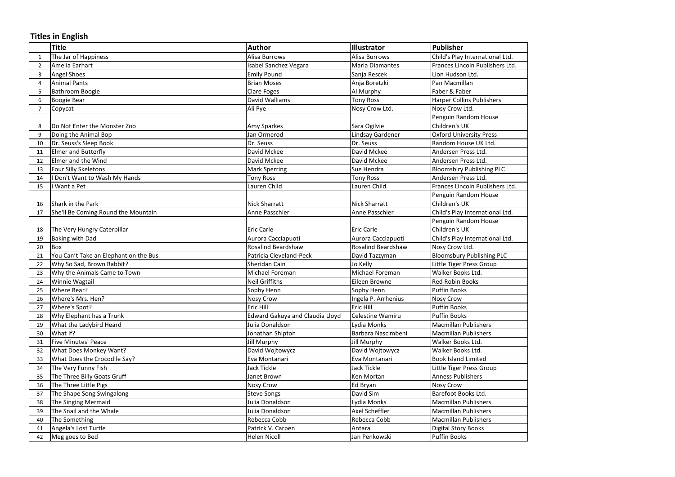## **Titles in English**

|    | <b>Title</b>                          | <b>Author</b>                          | <b>Illustrator</b>        | Publisher                        |
|----|---------------------------------------|----------------------------------------|---------------------------|----------------------------------|
|    | The Jar of Happiness                  | <b>Alisa Burrows</b>                   | Alisa Burrows             | Child's Play International Ltd.  |
| 2  | Amelia Earhart                        | Isabel Sanchez Vegara                  | <b>Maria Diamantes</b>    | Frances Lincoln Publishers Ltd.  |
| 3  | <b>Angel Shoes</b>                    | <b>Emily Pound</b>                     | Sanja Rescek              | Lion Hudson Ltd.                 |
| 4  | Animal Pants                          | <b>Brian Moses</b>                     | Anja Boretzki             | Pan Macmillan                    |
| 5  | Bathroom Boogie                       | <b>Clare Foges</b>                     | Al Murphy                 | Faber & Faber                    |
| 6  | <b>Boogie Bear</b>                    | David Walliams                         | <b>Tony Ross</b>          | <b>Harper Collins Publishers</b> |
| 7  | Copycat                               | Ali Pye                                | Nosy Crow Ltd.            | Nosy Crow Ltd.                   |
|    |                                       |                                        |                           | Penguin Random House             |
| 8  | Do Not Enter the Monster Zoo          | Amy Sparkes                            | Sara Ogilvie              | Children's UK                    |
| 9  | Doing the Animal Bop                  | Jan Ormerod                            | Lindsay Gardener          | <b>Oxford University Press</b>   |
| 10 | Dr. Seuss's Sleep Book                | Dr. Seuss                              | Dr. Seuss                 | Random House UK Ltd.             |
| 11 | <b>Elmer and Butterfly</b>            | David Mckee                            | David Mckee               | Andersen Press Ltd.              |
| 12 | Elmer and the Wind                    | David Mckee                            | David Mckee               | Andersen Press Ltd.              |
| 13 | <b>Four Silly Skeletons</b>           | <b>Mark Sperring</b>                   | Sue Hendra                | <b>Bloomsbiry Publishing PLC</b> |
| 14 | I Don't Want to Wash My Hands         | <b>Tony Ross</b>                       | <b>Tony Ross</b>          | Andersen Press Ltd.              |
| 15 | I Want a Pet                          | Lauren Child                           | Lauren Child              | Frances Lincoln Publishers Ltd.  |
|    |                                       |                                        |                           | Penguin Random House             |
| 16 | Shark in the Park                     | <b>Nick Sharratt</b>                   | Nick Sharratt             | Children's UK                    |
| 17 | She'll Be Coming Round the Mountain   | Anne Passchier                         | Anne Passchier            | Child's Play International Ltd.  |
|    |                                       |                                        |                           | Penguin Random House             |
| 18 | The Very Hungry Caterpillar           | <b>Eric Carle</b>                      | <b>Eric Carle</b>         | Children's UK                    |
| 19 | <b>Baking with Dad</b>                | Aurora Cacciapuoti                     | Aurora Cacciapuoti        | Child's Play International Ltd.  |
| 20 | Box                                   | <b>Rosalind Beardshaw</b>              | <b>Rosalind Beardshaw</b> | Nosy Crow Ltd.                   |
| 21 | You Can't Take an Elephant on the Bus | Patricia Cleveland-Peck                | David Tazzyman            | <b>Bloomsbury Publishing PLC</b> |
| 22 | Why So Sad, Brown Rabbit?             | Sheridan Cain                          | Jo Kelly                  | Little Tiger Press Group         |
| 23 | Why the Animals Came to Town          | Michael Foreman                        | Michael Foreman           | Walker Books Ltd.                |
| 24 | <b>Winnie Wagtail</b>                 | <b>Neil Griffiths</b>                  | Eileen Browne             | <b>Red Robin Books</b>           |
| 25 | Where Bear?                           | Sophy Henn                             | Sophy Henn                | <b>Puffin Books</b>              |
| 26 | Where's Mrs. Hen?                     | <b>Nosy Crow</b>                       | Ingela P. Arrhenius       | Nosy Crow                        |
| 27 | Where's Spot?                         | Eric Hill                              | <b>Eric Hill</b>          | <b>Puffin Books</b>              |
| 28 | Why Elephant has a Trunk              | <b>Edward Gakuya and Claudia Lloyd</b> | Celestine Wamiru          | <b>Puffin Books</b>              |
| 29 | What the Ladybird Heard               | Julia Donaldson                        | Lydia Monks               | <b>Macmillan Publishers</b>      |
| 30 | What If?                              | Jonathan Shipton                       | Barbara Nascimbeni        | <b>Macmillan Publishers</b>      |
| 31 | Five Minutes' Peace                   | <b>Jill Murphy</b>                     | <b>Jill Murphy</b>        | Walker Books Ltd.                |
| 32 | <b>What Does Monkey Want?</b>         | David Wojtowycz                        | David Wojtowycz           | Walker Books Ltd.                |
| 33 | What Does the Crocodile Say?          | Eva Montanari                          | Eva Montanari             | <b>Book Island Limited</b>       |
| 34 | The Very Funny Fish                   | Jack Tickle                            | Jack Tickle               | Little Tiger Press Group         |
| 35 | The Three Billy Goats Gruff           | Janet Brown                            | Ken Mortan                | <b>Anness Publishers</b>         |
| 36 | The Three Little Pigs                 | <b>Nosy Crow</b>                       | Ed Bryan                  | <b>Nosy Crow</b>                 |
| 37 | The Shape Song Swingalong             | <b>Steve Songs</b>                     | David Sim                 | Barefoot Books Ltd.              |
| 38 | The Singing Mermaid                   | Julia Donaldson                        | Lydia Monks               | <b>Macmillan Publishers</b>      |
| 39 | The Snail and the Whale               | Julia Donaldson                        | Axel Scheffler            | <b>Macmillan Publishers</b>      |
| 40 | The Something                         | Rebecca Cobb                           | Rebecca Cobb              | <b>Macmillan Publishers</b>      |
| 41 | Angela's Lost Turtle                  | Patrick V. Carpen                      | Antara                    | Digital Story Books              |
| 42 | Meg goes to Bed                       | Helen Nicoll                           | Jan Penkowski             | <b>Puffin Books</b>              |

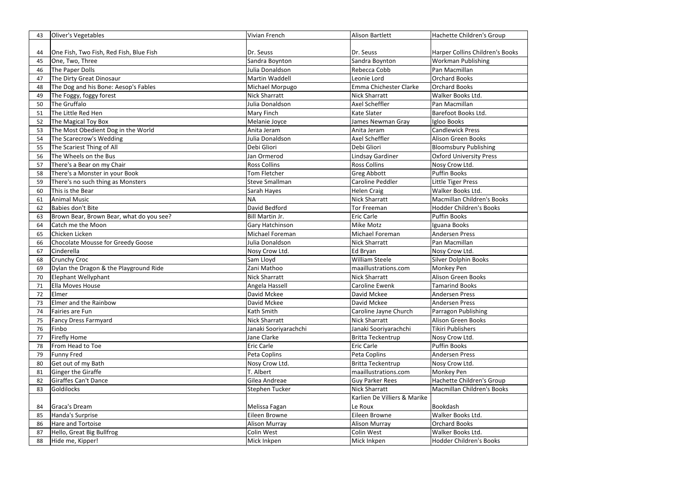| 43 | Oliver's Vegetables                      | Vivian French                     | <b>Alison Bartlett</b>       | Hachette Children's Group       |
|----|------------------------------------------|-----------------------------------|------------------------------|---------------------------------|
|    |                                          |                                   |                              |                                 |
| 44 | One Fish, Two Fish, Red Fish, Blue Fish  | Dr. Seuss                         | Dr. Seuss                    | Harper Collins Children's Books |
| 45 | One, Two, Three                          | Sandra Boynton<br>Julia Donaldson | Sandra Boynton               | <b>Workman Publishing</b>       |
| 46 | The Paper Dolls                          |                                   | Rebecca Cobb                 | Pan Macmillan                   |
| 47 | The Dirty Great Dinosaur                 | Martin Waddell                    | Leonie Lord                  | <b>Orchard Books</b>            |
| 48 | The Dog and his Bone: Aesop's Fables     | Michael Morpugo                   | Emma Chichester Clarke       | <b>Orchard Books</b>            |
| 49 | The Foggy, foggy forest                  | <b>Nick Sharratt</b>              | <b>Nick Sharratt</b>         | Walker Books Ltd.               |
| 50 | The Gruffalo                             | Julia Donaldson                   | <b>Axel Scheffler</b>        | Pan Macmillan                   |
| 51 | The Little Red Hen                       | Mary Finch                        | <b>Kate Slater</b>           | Barefoot Books Ltd.             |
| 52 | The Magical Toy Box                      | Melanie Joyce                     | James Newman Gray            | Igloo Books                     |
| 53 | The Most Obedient Dog in the World       | Anita Jeram                       | Anita Jeram                  | <b>Candlewick Press</b>         |
| 54 | The Scarecrow's Wedding                  | Julia Donaldson                   | <b>Axel Scheffler</b>        | <b>Alison Green Books</b>       |
| 55 | The Scariest Thing of All                | Debi Gliori                       | Debi Gliori                  | <b>Bloomsbury Publishing</b>    |
| 56 | The Wheels on the Bus                    | Jan Ormerod                       | <b>Lindsay Gardiner</b>      | <b>Oxford University Press</b>  |
| 57 | There's a Bear on my Chair               | <b>Ross Collins</b>               | <b>Ross Collins</b>          | Nosy Crow Ltd.                  |
| 58 | There's a Monster in your Book           | <b>Tom Fletcher</b>               | <b>Greg Abbott</b>           | <b>Puffin Books</b>             |
| 59 | There's no such thing as Monsters        | <b>Steve Smallman</b>             | Caroline Peddler             | Little Tiger Press              |
| 60 | This is the Bear                         | Sarah Hayes                       | <b>Helen Craig</b>           | Walker Books Ltd.               |
| 61 | <b>Animal Music</b>                      | <b>NA</b>                         | <b>Nick Sharratt</b>         | Macmillan Children's Books      |
| 62 | Babies don't Bite                        | David Bedford                     | <b>Tor Freeman</b>           | <b>Hodder Children's Books</b>  |
| 63 | Brown Bear, Brown Bear, what do you see? | Bill Martin Jr.                   | <b>Eric Carle</b>            | Puffin Books                    |
| 64 | Catch me the Moon                        | Gary Hatchinson                   | Mike Motz                    | Iguana Books                    |
| 65 | Chicken Licken                           | Michael Foreman                   | Michael Foreman              | <b>Andersen Press</b>           |
| 66 | Chocolate Mousse for Greedy Goose        | Julia Donaldson                   | <b>Nick Sharratt</b>         | Pan Macmillan                   |
| 67 | Cinderella                               | Nosy Crow Ltd.                    | Ed Bryan                     | Nosy Crow Ltd.                  |
| 68 | <b>Crunchy Croc</b>                      | Sam Lloyd                         | <b>William Steele</b>        | Silver Dolphin Books            |
| 69 | Dylan the Dragon & the Playground Ride   | Zani Mathoo                       | maaillustrations.com         | Monkey Pen                      |
| 70 | Elephant Wellyphant                      | <b>Nick Sharratt</b>              | <b>Nick Sharratt</b>         | Alison Green Books              |
|    | Ella Moves House                         | Angela Hassell                    | Caroline Ewenk               | <b>Tamarind Books</b>           |
| 72 | Elmer                                    | David Mckee                       | David Mckee                  | <b>Andersen Press</b>           |
| 73 | Elmer and the Rainbow                    | David Mckee                       | David Mckee                  | <b>Andersen Press</b>           |
| 74 | Fairies are Fun                          | Kath Smith                        | Caroline Jayne Church        | Parragon Publishing             |
| 75 | <b>Fancy Dress Farmyard</b>              | <b>Nick Sharratt</b>              | <b>Nick Sharratt</b>         | <b>Alison Green Books</b>       |
| 76 | Finbo                                    | Janaki Sooriyarachchi             | Janaki Sooriyarachchi        | Tikiri Publishers               |
| 77 | <b>Firefly Home</b>                      | Jane Clarke                       | <b>Britta Teckentrup</b>     | Nosy Crow Ltd.                  |
| 78 | From Head to Toe                         | Eric Carle                        | <b>Eric Carle</b>            | Puffin Books                    |
| 79 | <b>Funny Fred</b>                        | Peta Coplins                      | Peta Coplins                 | <b>Andersen Press</b>           |
| 80 | Get out of my Bath                       | Nosy Crow Ltd.                    | <b>Britta Teckentrup</b>     | Nosy Crow Ltd.                  |
| 81 | Ginger the Giraffe                       | T. Albert                         | maaillustrations.com         | Monkey Pen                      |
| 82 | Giraffes Can't Dance                     | Gilea Andreae                     | <b>Guy Parker Rees</b>       | Hachette Children's Group       |
| 83 | Goldilocks                               | Stephen Tucker                    | <b>Nick Sharratt</b>         | Macmillan Children's Books      |
|    |                                          |                                   | Karlien De Villiers & Marike |                                 |
| 84 | Graca's Dream                            | Melissa Fagan                     | Le Roux                      | Bookdash                        |
| 85 | Handa's Surprise                         | Eileen Browne                     | Eileen Browne                | Walker Books Ltd.               |
| 86 | Hare and Tortoise                        | <b>Alison Murray</b>              | <b>Alison Murray</b>         | <b>Orchard Books</b>            |
| 87 | Hello, Great Big Bullfrog                | Colin West                        | <b>Colin West</b>            | Walker Books Ltd.               |
| 88 | Hide me, Kipper!                         | Mick Inkpen                       | Mick Inkpen                  | Hodder Children's Books         |
|    |                                          |                                   |                              |                                 |

|   | oks |  |
|---|-----|--|
|   |     |  |
|   |     |  |
|   |     |  |
|   |     |  |
|   |     |  |
|   |     |  |
|   |     |  |
|   |     |  |
| ۰ |     |  |
|   |     |  |
|   |     |  |
|   |     |  |
|   |     |  |
|   |     |  |
|   |     |  |
|   |     |  |
|   |     |  |
|   |     |  |
|   |     |  |
|   |     |  |
|   |     |  |
|   |     |  |
|   |     |  |
|   |     |  |
|   |     |  |
|   |     |  |
|   |     |  |
|   |     |  |
|   |     |  |
|   |     |  |
|   |     |  |
|   |     |  |
|   |     |  |
|   |     |  |
|   |     |  |
|   |     |  |
|   |     |  |
|   |     |  |
|   |     |  |
|   |     |  |
|   |     |  |
|   |     |  |
|   |     |  |
|   |     |  |
|   |     |  |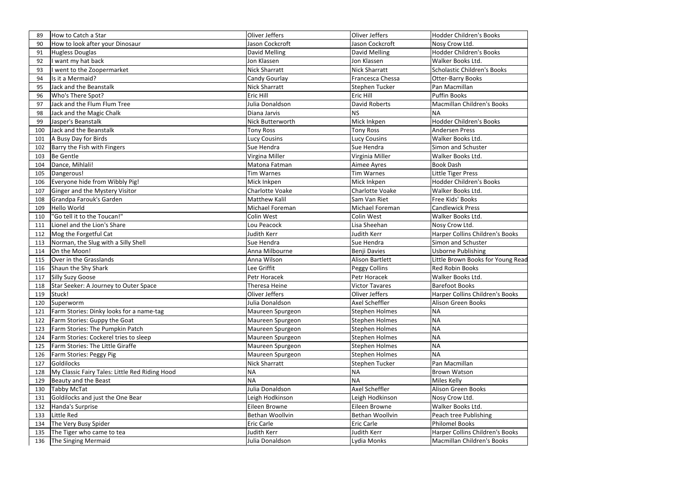| How to look after your Dinosaur<br>90                 | Jason Cockcroft         | Jason Cockcroft        | Nosy Crow Ltd.                     |
|-------------------------------------------------------|-------------------------|------------------------|------------------------------------|
| Hugless Douglas<br>91                                 | David Melling           | David Melling          | <b>Hodder Children's Books</b>     |
| want my hat back<br>92                                | Jon Klassen             | Jon Klassen            | Walker Books Ltd.                  |
| went to the Zoopermarket<br>93                        | <b>Nick Sharratt</b>    | <b>Nick Sharratt</b>   | <b>Scholastic Children's Books</b> |
| Is it a Mermaid?<br>94                                | Candy Gourlay           | Francesca Chessa       | <b>Otter-Barry Books</b>           |
| Jack and the Beanstalk<br>95                          | <b>Nick Sharratt</b>    | <b>Stephen Tucker</b>  | Pan Macmillan                      |
| Who's There Spot?<br>96                               | Eric Hill               | <b>Eric Hill</b>       | <b>Puffin Books</b>                |
| Jack and the Flum Flum Tree<br>97                     | Julia Donaldson         | David Roberts          | Macmillan Children's Books         |
| Jack and the Magic Chalk<br>98                        | Diana Jarvis            | <b>NS</b>              | <b>NA</b>                          |
| Jasper's Beanstalk<br>99                              | <b>Nick Butterworth</b> | Mick Inkpen            | <b>Hodder Children's Books</b>     |
| Jack and the Beanstalk<br>100                         | <b>Tony Ross</b>        | <b>Tony Ross</b>       | <b>Andersen Press</b>              |
| A Busy Day for Birds<br>101                           | Lucy Cousins            | <b>Lucy Cousins</b>    | Walker Books Ltd.                  |
| Barry the Fish with Fingers<br>102                    | Sue Hendra              | Sue Hendra             | Simon and Schuster                 |
| Be Gentle<br>103                                      | Virgina Miller          | Virginia Miller        | Walker Books Ltd.                  |
| Dance, Mihlali!<br>104                                | Matona Fatman           | Aimee Ayres            | <b>Book Dash</b>                   |
| Dangerous!<br>105                                     | <b>Tim Warnes</b>       | <b>Tim Warnes</b>      | Little Tiger Press                 |
| Everyone hide from Wibbly Pig!<br>106                 | Mick Inkpen             | Mick Inkpen            | Hodder Children's Books            |
| Ginger and the Mystery Visitor<br>107                 | Charlotte Voake         | <b>Charlotte Voake</b> | Walker Books Ltd.                  |
| Grandpa Farouk's Garden<br>108                        | <b>Matthew Kalil</b>    | Sam Van Riet           | Free Kids' Books                   |
| <b>Hello World</b><br>109                             | Michael Foreman         | Michael Foreman        | <b>Candlewick Press</b>            |
| "Go tell it to the Toucan!"<br>110                    | Colin West              | <b>Colin West</b>      | Walker Books Ltd.                  |
| Lionel and the Lion's Share<br>111                    | Lou Peacock             | Lisa Sheehan           | Nosy Crow Ltd.                     |
| Mog the Forgetful Cat<br>112                          | Judith Kerr             | Judith Kerr            | Harper Collins Children's Books    |
| Norman, the Slug with a Silly Shell<br>113            | Sue Hendra              | Sue Hendra             | Simon and Schuster                 |
| On the Moon!<br>114                                   | Anna Milbourne          | Benji Davies           | <b>Usborne Publishing</b>          |
| Over in the Grasslands<br>115                         | Anna Wilson             | <b>Alison Bartlett</b> | Little Brown Books for Young Read  |
| Shaun the Shy Shark<br>116                            | Lee Griffit             | <b>Peggy Collins</b>   | <b>Red Robin Books</b>             |
| Silly Suzy Goose<br>117                               | Petr Horacek            | Petr Horacek           | Walker Books Ltd.                  |
| Star Seeker: A Journey to Outer Space                 | Theresa Heine           | Victor Tavares         | <b>Barefoot Books</b>              |
| Stuck!<br>119                                         | <b>Oliver Jeffers</b>   | Oliver Jeffers         | Harper Collins Children's Books    |
| Superworm<br>120                                      | Julia Donaldson         | <b>Axel Scheffler</b>  | <b>Alison Green Books</b>          |
| Farm Stories: Dinky looks for a name-tag<br>121       | Maureen Spurgeon        | <b>Stephen Holmes</b>  | <b>NA</b>                          |
| <b>Farm Stories: Guppy the Goat</b><br>122            | Maureen Spurgeon        | <b>Stephen Holmes</b>  | <b>NA</b>                          |
| Farm Stories: The Pumpkin Patch<br>123                | Maureen Spurgeon        | <b>Stephen Holmes</b>  | <b>NA</b>                          |
| Farm Stories: Cockerel tries to sleep<br>124          | Maureen Spurgeon        | <b>Stephen Holmes</b>  | <b>NA</b>                          |
| Farm Stories: The Little Giraffe<br>125               | Maureen Spurgeon        | <b>Stephen Holmes</b>  | <b>NA</b>                          |
| <b>Farm Stories: Peggy Pig</b><br>126                 | Maureen Spurgeon        | <b>Stephen Holmes</b>  | <b>NA</b>                          |
| Goldilocks<br>127                                     | Nick Sharratt           | Stephen Tucker         | Pan Macmillan                      |
| My Classic Fairy Tales: Little Red Riding Hood<br>128 | <b>NA</b>               | <b>NA</b>              | <b>Brown Watson</b>                |
| Beauty and the Beast<br>129                           | <b>NA</b>               | <b>NA</b>              | Miles Kelly                        |
| <b>Tabby McTat</b><br>130                             | Julia Donaldson         | <b>Axel Scheffler</b>  | <b>Alison Green Books</b>          |
| Goldilocks and just the One Bear<br>131               | Leigh Hodkinson         | Leigh Hodkinson        | Nosy Crow Ltd.                     |
| Handa's Surprise<br>132                               | Eileen Browne           | Eileen Browne          | Walker Books Ltd.                  |
| Little Red<br>133                                     | Bethan Woollvin         | Bethan Woollvin        | Peach tree Publishing              |
| The Very Busy Spider<br>134                           | <b>Eric Carle</b>       | <b>Eric Carle</b>      | <b>Philomel Books</b>              |
| The Tiger who came to tea<br>135                      | Judith Kerr             | Judith Kerr            | Harper Collins Children's Books    |
| The Singing Mermaid<br>136                            | Julia Donaldson         | Lydia Monks            | Macmillan Children's Books         |